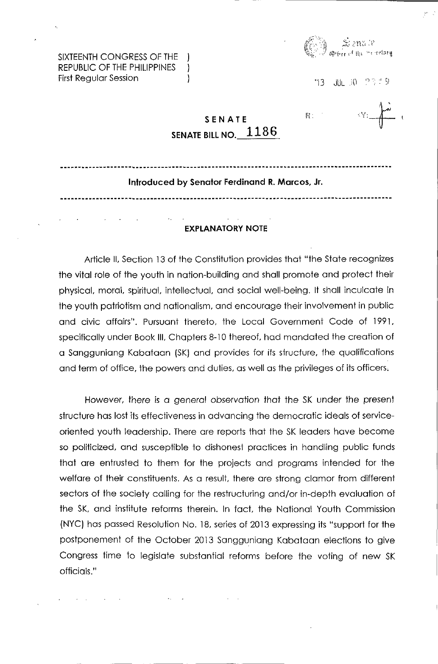·13 JULiO ";:' 9

SIXTEENTH CONGRESS OF THE REPUBLIC OF THE PHILIPPINES First Regular Session

| SENATE |                         |
|--------|-------------------------|
|        | SENATE BILL NO. $-1186$ |

 $\mathcal{E}$  $\mathbf{)}$ 

 $\mathscr{C}^{\mathbb{R}'}$ :<br> $\downarrow \downarrow \downarrow$  ''  $R^*$ 

## Introduced by Senator Ferdinand R. Marcos, Jr.

## EXPLANATORY NOTE

Article II, Section 13 of the Constitution provides that "the State recognizes the vital role of the youth in nation-building and shall promote and protect their physical, moral, spiritual, intellectual, and social well-being. It shall inculcate in the youth patriotism and nationalism, and encourage their involvement in public and civic affairs". Pursuant thereto, the Local Govemment Code of 1991, specifically under Book III, Chapters 8-10 thereof. had mandated the creation of a Sangguniang Kabataan (SK) and provides for its structure, the qualifications and term of office, the powers and duties, as well as the privileges of its officers;

However, there is a general observation that the SK under the present structure has lost its effectiveness in advancing the democratic ideals of serviceoriented youth leadership. There are reports that the SK leaders have become so politicized, and susceptible to dishonest practices in handling public funds that are entrusted to them for the projects and programs intended for the welfare of their constituents. As a result. there are strong clamor from different sectors of the society calling for the restructuring and/or in-depth evaluation of the SK, and institute reforms therein. In fact, the National Youth Commission (NYC) has passed Resolution No. 18, series of 2013 expressing its "support for the postponement of the October 2013 Sangguniang Kabataan elections to give Congress time to legislate substantial reforms before the voting of new SK officials."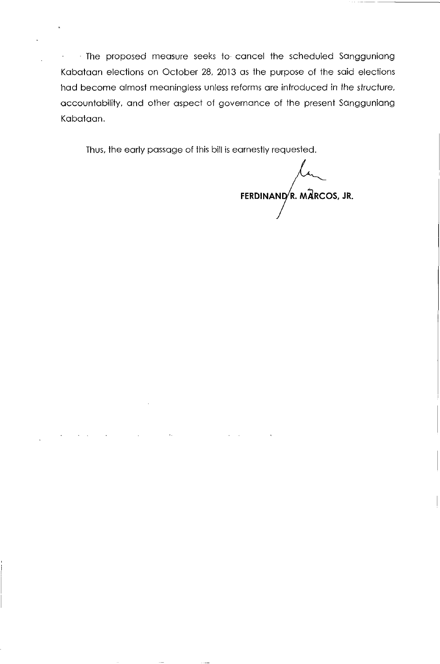The proposed measure seeks to· cancel the scheduled Sangguniang  $\omega_{\rm{eff}}$ Kabataan elections on October 28, 2013 as the purpose of the said elections had become almost meaningless unless reforms are introduced in the structure, accountability, and other aspect of governance of the present Sangguniang Kabataan.

 $\mathbf{r} = \mathbf{r}$ 

Thus, the early passage of this bill is earnestly requested.

 $\mathbf{r}$ 

**FERDINAND, R. MARCOS, JR.**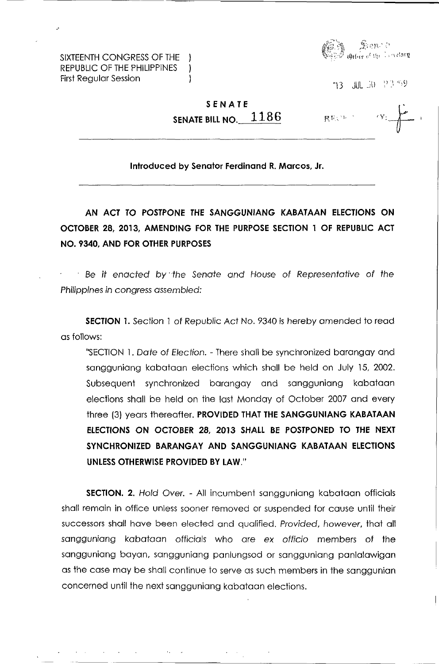SIXTEENTH CONGRESS OF THE REPUBLIC OF THE PHILIPPINES First Regular Session



13 JH 30 23.59

## **SENATE SENATE BILL NO. 1186**

 $\mathcal{L}$ -1

展览公司 "

**Introduced by Senator Ferdinand R. Marcos, Jr.** 

**AN ACT TO POSTPONE THE SANGGUNIANG KABATAAN ELECTIONS ON OCTOBER 28, 2013, AMENDING FOR THE PURPOSE SECTION 1 OF REPUBLIC ACT NO. 9340, AND FOR OTHER PURPOSES** 

Be it enacted by the Senate and House of Representative of the Philippines in congress assembled:

**SECTION 1.** Section 1 of Republic Act No. 9340 is hereby amended to read as follows:

"SECTION 1. Date of Election. - There shall be synchronized barangay and sangguniang kabataan elections which shall be held on July 15, 2002. Subsequent synchronized barangay and sangguniang kabataan elections shall be held on the last Monday of October 2007 and every three (3) years thereafter. **PROVIDED THAT THE SANGGUNIANG KABATAAN ELECTIONS ON OCTOBER 28, 2013 SHALL BE POSTPONED TO THE NEXT SYNCHRONIZED BARANGAY AND SANGGUNIANG KABATAAN ELECTIONS UNLESS OTHERWISE PROVIDED BY LAW."** 

**SECTION. 2.** Hold Over. - All incumbent sangguniang kabataan officials shall remain in office unless sooner removed or suspended for cause until their successors shall have been elected and qualified. Provided, however, that all sangguniang kabataan officials who are ex officio members of the sangguniang boyan, sangguniang panlungsod or sangguniang panlalawigan as the case may be shall continue to serve as such members in the sanggunian concerned until the next sangguniang kabataan elections.